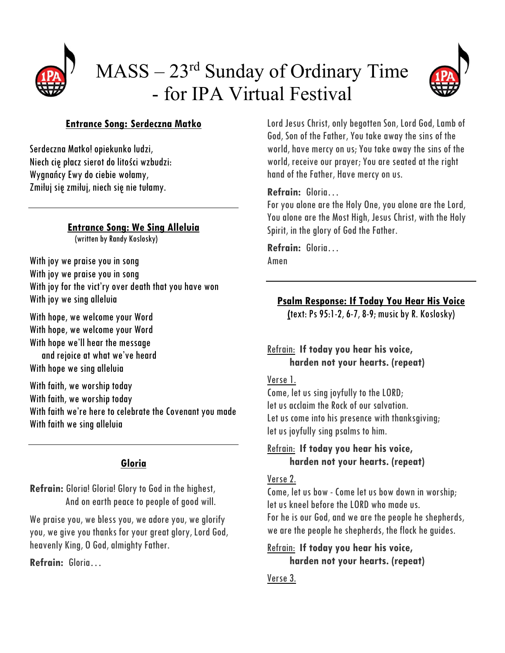

# MASS – 23rd Sunday of Ordinary Time - for IPA Virtual Festival



## **Entrance Song: Serdeczna Matko**

Serdeczna Matko! opiekunko ludzi, Niech cię płacz sierot do litości wzbudzi: Wygnańcy Ewy do ciebie wołamy, Zmiłuj się zmiłuj, niech się nie tułamy.

## **Entrance Song: We Sing Allelvia**<br>(written by Randy Koslosky)

With joy we praise you in song With joy we praise you in song With joy for the vict'ry over death that you have won With joy we sing alleluia

With hope, we welcome your Word With hope, we welcome your Word With hope we'll hear the message and rejoice at what we've heard With hope we sing alleluia

With faith, we worship today With faith, we worship today With faith we're here to celebrate the Covenant you made With faith we sing alleluia

## **Gloria**

**Refrain:** Gloria! Gloria! Glory to God in the highest, And on earth peace to people of good will.

We praise you, we bless you, we adore you, we glorify you, we give you thanks for your great glory, Lord God, heavenly King, O God, almighty Father.

**Refrain:** Gloria…

Lord Jesus Christ, only begotten Son, Lord God, Lamb of God, Son of the Father, You take away the sins of the world, have mercy on us; You take away the sins of the world, receive our prayer; You are seated at the right hand of the Father, Have mercy on us.

## **Refrain:** Gloria…

For you alone are the Holy One, you alone are the Lord, You alone are the Most High, Jesus Christ, with the Holy Spirit, in the glory of God the Father.

**Refrain:** Gloria… Amen

**Psalm Response: If Today You Hear His Voice**

**(**text: Ps 95:1-2, 6-7, 8-9; music by R. Koslosky)

## Refrain: **If today you hear his voice, harden not your hearts. (repeat)**

## Verse 1.

Come, let us sing joyfully to the LORD; let us acclaim the Rock of our salvation. Let us come into his presence with thanksgiving; let us joyfully sing psalms to him.

## Refrain: **If today you hear his voice, harden not your hearts. (repeat)**

## Verse 2.

Come, let us bow - Come let us bow down in worship; let us kneel before the LORD who made us. For he is our God, and we are the people he shepherds, we are the people he shepherds, the flock he guides.

## Refrain: **If today you hear his voice, harden not your hearts. (repeat)**

## Verse 3.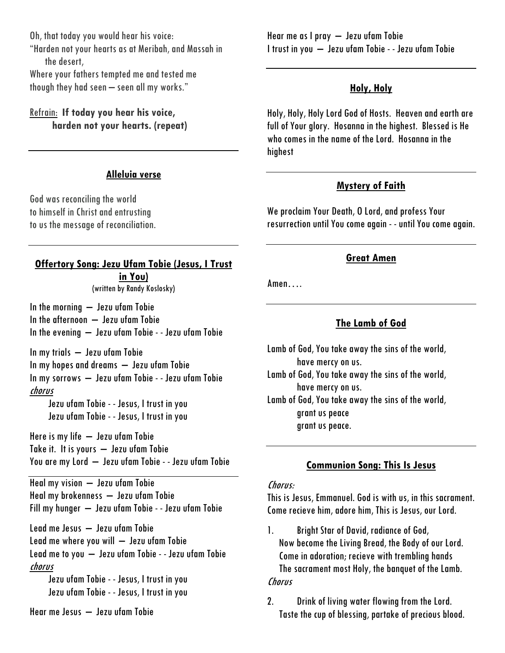Oh, that today you would hear his voice: "Harden not your hearts as at Meribah, and Massah in the desert,

Where your fathers tempted me and tested me though they had seen – seen all my works."

## Refrain: **If today you hear his voice, harden not your hearts. (repeat)**

#### **Alleluia verse**

God was reconciling the world to himself in Christ and entrusting to us the message of reconciliation.

## **Offertory Song: Jezu Ufam Tobie (Jesus, I Trust in You)**

(written by Randy Koslosky)

In the morning  $-$  Jezu ufam Tobie In the afternoon – Jezu ufam Tobie In the evening – Jezu ufam Tobie - - Jezu ufam Tobie

In my trials – Jezu ufam Tobie In my hopes and dreams – Jezu ufam Tobie In my sorrows – Jezu ufam Tobie - - Jezu ufam Tobie chorus

Jezu ufam Tobie - - Jesus, I trust in you Jezu ufam Tobie - - Jesus, I trust in you

Here is my life – Jezu ufam Tobie Take it. It is yours – Jezu ufam Tobie You are my Lord – Jezu ufam Tobie - - Jezu ufam Tobie

Heal my vision – Jezu ufam Tobie Heal my brokenness – Jezu ufam Tobie Fill my hunger – Jezu ufam Tobie - - Jezu ufam Tobie

Lead me Jesus – Jezu ufam Tobie Lead me where you will – Jezu ufam Tobie Lead me to you – Jezu ufam Tobie - - Jezu ufam Tobie chorus

Jezu ufam Tobie - - Jesus, I trust in you Jezu ufam Tobie - - Jesus, I trust in you

Hear me Jesus – Jezu ufam Tobie

Hear me as I pray – Jezu ufam Tobie I trust in you – Jezu ufam Tobie - - Jezu ufam Tobie

### **Holy, Holy**

Holy, Holy, Holy Lord God of Hosts. Heaven and earth are full of Your glory. Hosanna in the highest. Blessed is He who comes in the name of the Lord. Hosanna in the highest

#### **Mystery of Faith**

We proclaim Your Death, O Lord, and profess Your resurrection until You come again - - until You come again.

#### **Great Amen**

Amen….

## **The Lamb of God**

Lamb of God, You take away the sins of the world, have mercy on us. Lamb of God, You take away the sins of the world, have mercy on us. Lamb of God, You take away the sins of the world, grant us peace grant us peace.

#### **Communion Song: This Is Jesus**

#### Chorus:

This is Jesus, Emmanuel. God is with us, in this sacrament. Come recieve him, adore him, This is Jesus, our Lord.

- 1. Bright Star of David, radiance of God, Now become the Living Bread, the Body of our Lord. Come in adoration; recieve with trembling hands The sacrament most Holy, the banquet of the Lamb. Chorus
- 2. Drink of living water flowing from the Lord. Taste the cup of blessing, partake of precious blood.